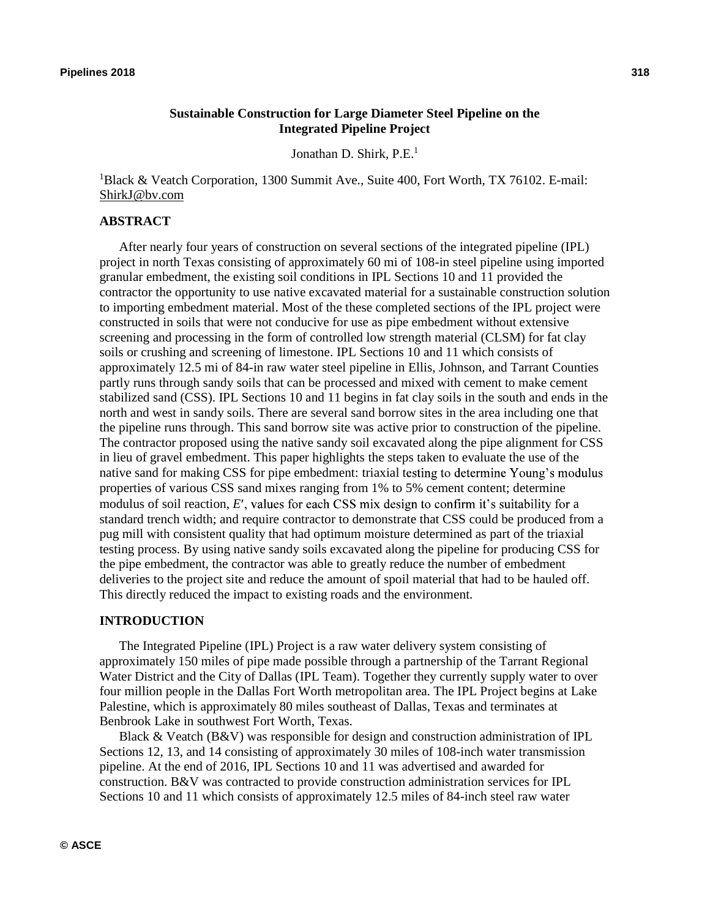# **Sustainable Construction for Large Diameter Steel Pipeline on the Integrated Pipeline Project**

Jonathan D. Shirk, P.E.<sup>1</sup>

<sup>1</sup>Black & Veatch Corporation, 1300 Summit Ave., Suite 400, Fort Worth, TX 76102. E-mail: ShirkJ@bv.com

#### **ABSTRACT**

After nearly four years of construction on several sections of the integrated pipeline (IPL) project in north Texas consisting of approximately 60 mi of 108-in steel pipeline using imported granular embedment, the existing soil conditions in IPL Sections 10 and 11 provided the contractor the opportunity to use native excavated material for a sustainable construction solution to importing embedment material. Most of the these completed sections of the IPL project were constructed in soils that were not conducive for use as pipe embedment without extensive screening and processing in the form of controlled low strength material (CLSM) for fat clay soils or crushing and screening of limestone. IPL Sections 10 and 11 which consists of approximately 12.5 mi of 84-in raw water steel pipeline in Ellis, Johnson, and Tarrant Counties partly runs through sandy soils that can be processed and mixed with cement to make cement stabilized sand (CSS). IPL Sections 10 and 11 begins in fat clay soils in the south and ends in the north and west in sandy soils. There are several sand borrow sites in the area including one that the pipeline runs through. This sand borrow site was active prior to construction of the pipeline. The contractor proposed using the native sandy soil excavated along the pipe alignment for CSS in lieu of gravel embedment. This paper highlights the steps taken to evaluate the use of the native sand for making CSS for pipe embedment: triaxial testing to determine Young's modulus properties of various CSS sand mixes ranging from 1% to 5% cement content; determine modulus of soil reaction,  $E'$ , values for each CSS mix design to confirm it's suitability for a standard trench width; and require contractor to demonstrate that CSS could be produced from a pug mill with consistent quality that had optimum moisture determined as part of the triaxial testing process. By using native sandy soils excavated along the pipeline for producing CSS for the pipe embedment, the contractor was able to greatly reduce the number of embedment deliveries to the project site and reduce the amount of spoil material that had to be hauled off. This directly reduced the impact to existing roads and the environment.

#### **INTRODUCTION**

The Integrated Pipeline (IPL) Project is a raw water delivery system consisting of approximately 150 miles of pipe made possible through a partnership of the Tarrant Regional Water District and the City of Dallas (IPL Team). Together they currently supply water to over four million people in the Dallas Fort Worth metropolitan area. The IPL Project begins at Lake Palestine, which is approximately 80 miles southeast of Dallas, Texas and terminates at Benbrook Lake in southwest Fort Worth, Texas.

Black & Veatch (B&V) was responsible for design and construction administration of IPL Sections 12, 13, and 14 consisting of approximately 30 miles of 108-inch water transmission pipeline. At the end of 2016, IPL Sections 10 and 11 was advertised and awarded for construction. B&V was contracted to provide construction administration services for IPL Sections 10 and 11 which consists of approximately 12.5 miles of 84-inch steel raw water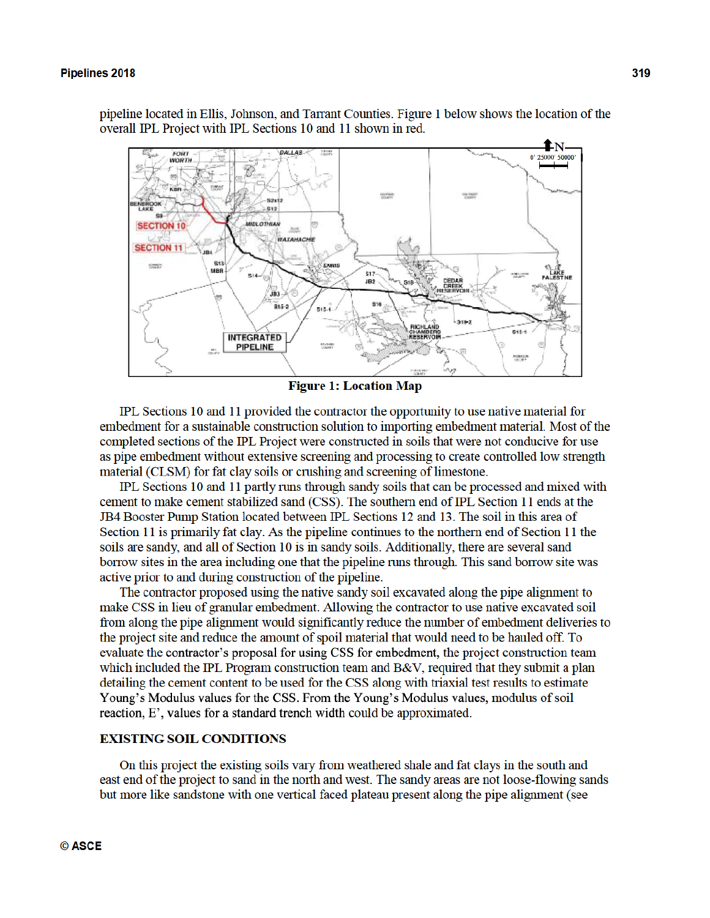pipeline located in Ellis, Johnson, and Tarrant Counties. Figure 1 below shows the location of the overall IPL Project with IPL Sections 10 and 11 shown in red.



**Figure 1: Location Map** 

IPL Sections 10 and 11 provided the contractor the opportunity to use native material for embedment for a sustainable construction solution to importing embedment material. Most of the completed sections of the IPL Project were constructed in soils that were not conducive for use as pipe embedment without extensive screening and processing to create controlled low strength material (CLSM) for fat clay soils or crushing and screening of limestone.

IPL Sections 10 and 11 partly runs through sandy soils that can be processed and mixed with cement to make cement stabilized sand (CSS). The southern end of IPL Section 11 ends at the JB4 Booster Pump Station located between IPL Sections 12 and 13. The soil in this area of Section 11 is primarily fat clay. As the pipeline continues to the northern end of Section 11 the soils are sandy, and all of Section 10 is in sandy soils. Additionally, there are several sand borrow sites in the area including one that the pipeline runs through. This sand borrow site was active prior to and during construction of the pipeline.

The contractor proposed using the native sandy soil excavated along the pipe alignment to make CSS in lieu of granular embedment. Allowing the contractor to use native excavated soil from along the pipe alignment would significantly reduce the number of embedment deliveries to the project site and reduce the amount of spoil material that would need to be hauled off. To evaluate the contractor's proposal for using CSS for embedment, the project construction team which included the IPL Program construction team and B&V, required that they submit a plan detailing the cement content to be used for the CSS along with triaxial test results to estimate Young's Modulus values for the CSS. From the Young's Modulus values, modulus of soil reaction, E', values for a standard trench width could be approximated.

#### **EXISTING SOIL CONDITIONS**

On this project the existing soils vary from weathered shale and fat clays in the south and east end of the project to sand in the north and west. The sandy areas are not loose-flowing sands but more like sandstone with one vertical faced plateau present along the pipe alignment (see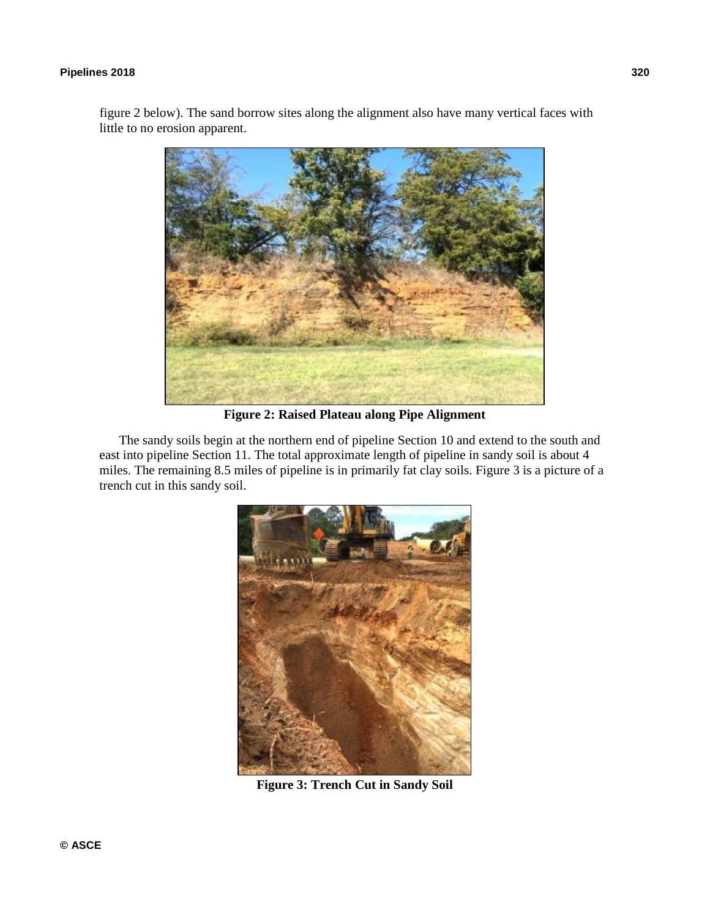### **Pipelines 2018 320**

figure 2 below). The sand borrow sites along the alignment also have many vertical faces with little to no erosion apparent.



**Figure 2: Raised Plateau along Pipe Alignment** 

The sandy soils begin at the northern end of pipeline Section 10 and extend to the south and east into pipeline Section 11. The total approximate length of pipeline in sandy soil is about 4 miles. The remaining 8.5 miles of pipeline is in primarily fat clay soils. Figure 3 is a picture of a trench cut in this sandy soil.



**Figure 3: Trench Cut in Sandy Soil**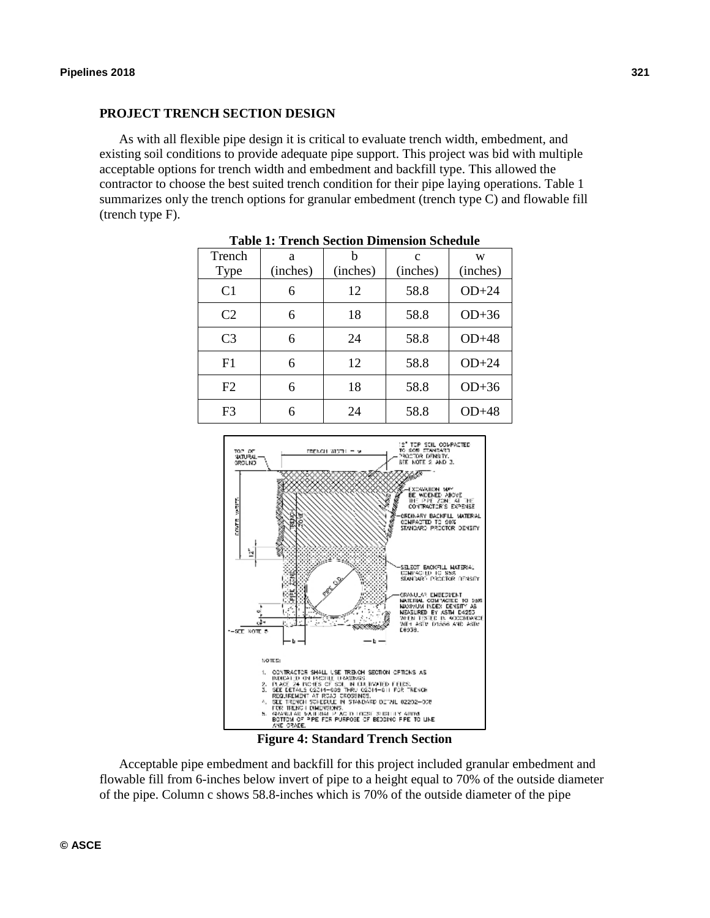### **PROJECT TRENCH SECTION DESIGN**

As with all flexible pipe design it is critical to evaluate trench width, embedment, and existing soil conditions to provide adequate pipe support. This project was bid with multiple acceptable options for trench width and embedment and backfill type. This allowed the contractor to choose the best suited trench condition for their pipe laying operations. Table 1 summarizes only the trench options for granular embedment (trench type C) and flowable fill (trench type F).

| Trench<br><b>Type</b> | a<br>(inches) | h<br>(inches) | $\mathbf{c}$<br>(inches) | W<br>(inches) |
|-----------------------|---------------|---------------|--------------------------|---------------|
| C <sub>1</sub>        | 6             | 12            | 58.8                     | $OD+24$       |
| C <sub>2</sub>        | 6             | 18            | 58.8                     | $OD+36$       |
| C <sub>3</sub>        | 6             | 24            | 58.8                     | $OD+48$       |
| F1                    | 6             | 12            | 58.8                     | $OD+24$       |
| F2                    | 6             | 18            | 58.8                     | $OD+36$       |
| F <sub>3</sub>        | 6             | 24            | 58.8                     | $OD+48$       |

**Table 1: Trench Section Dimension Schedule** 



**Figure 4: Standard Trench Section** 

Acceptable pipe embedment and backfill for this project included granular embedment and flowable fill from 6-inches below invert of pipe to a height equal to 70% of the outside diameter of the pipe. Column c shows 58.8-inches which is 70% of the outside diameter of the pipe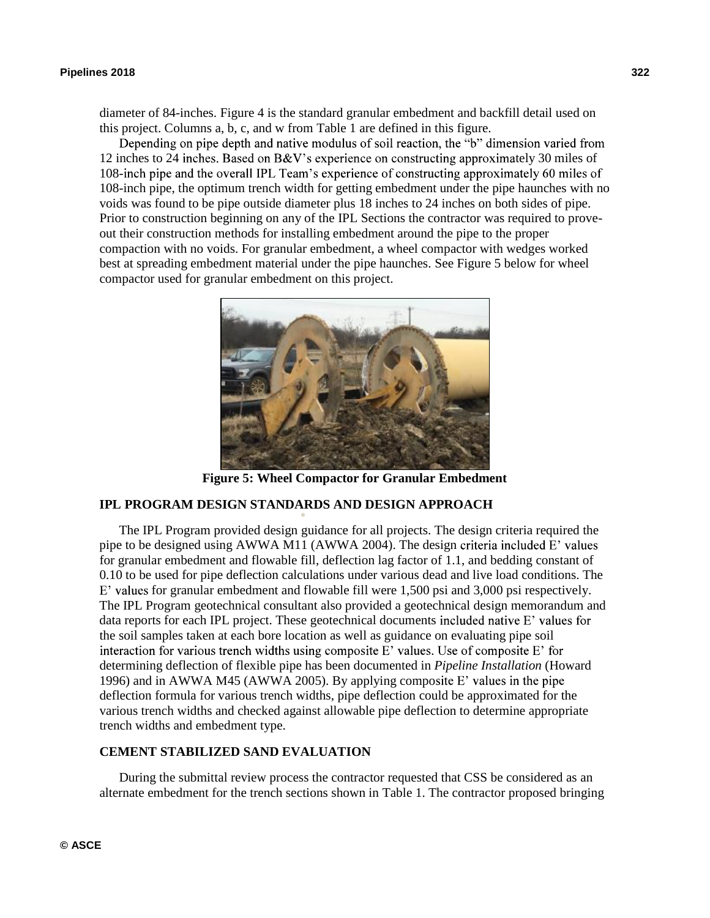diameter of 84-inches. Figure 4 is the standard granular embedment and backfill detail used on this project. Columns a, b, c, and w from Table 1 are defined in this figure.<br>Depending on pipe depth and native modulus of soil reaction, the "b" dimension varied from

12 inches to 24 inches. Based on B&V's experience on constructing approximately 30 miles of 108-inch pipe and the overall IPL Team's experience of constructing approximately 60 miles of 108-inch pipe, the optimum trench width for getting embedment under the pipe haunches with no voids was found to be pipe outside diameter plus 18 inches to 24 inches on both sides of pipe. Prior to construction beginning on any of the IPL Sections the contractor was required to proveout their construction methods for installing embedment around the pipe to the proper compaction with no voids. For granular embedment, a wheel compactor with wedges worked best at spreading embedment material under the pipe haunches. See Figure 5 below for wheel compactor used for granular embedment on this project.



**Figure 5: Wheel Compactor for Granular Embedment** 

# **IPL PROGRAM DESIGN STANDARDS AND DESIGN APPROACH**

The IPL Program provided design guidance for all projects. The design criteria required the pipe to be designed using AWWA M11 (AWWA 2004). The design criteria included E' values for granular embedment and flowable fill, deflection lag factor of 1.1, and bedding constant of 0.10 to be used for pipe deflection calculations under various dead and live load conditions. The  $E'$  values for granular embedment and flowable fill were 1,500 psi and 3,000 psi respectively. The IPL Program geotechnical consultant also provided a geotechnical design memorandum and data reports for each IPL project. These geotechnical documents included native  $E'$  values for the soil samples taken at each bore location as well as guidance on evaluating pipe soil interaction for various trench widths using composite E' values. Use of composite E' for determining deflection of flexible pipe has been documented in *Pipeline Installation* (Howard 1996) and in AWWA M45 (AWWA 2005). By applying composite E' values in the pipe deflection formula for various trench widths, pipe deflection could be approximated for the various trench widths and checked against allowable pipe deflection to determine appropriate trench widths and embedment type.

### **CEMENT STABILIZED SAND EVALUATION**

During the submittal review process the contractor requested that CSS be considered as an alternate embedment for the trench sections shown in Table 1. The contractor proposed bringing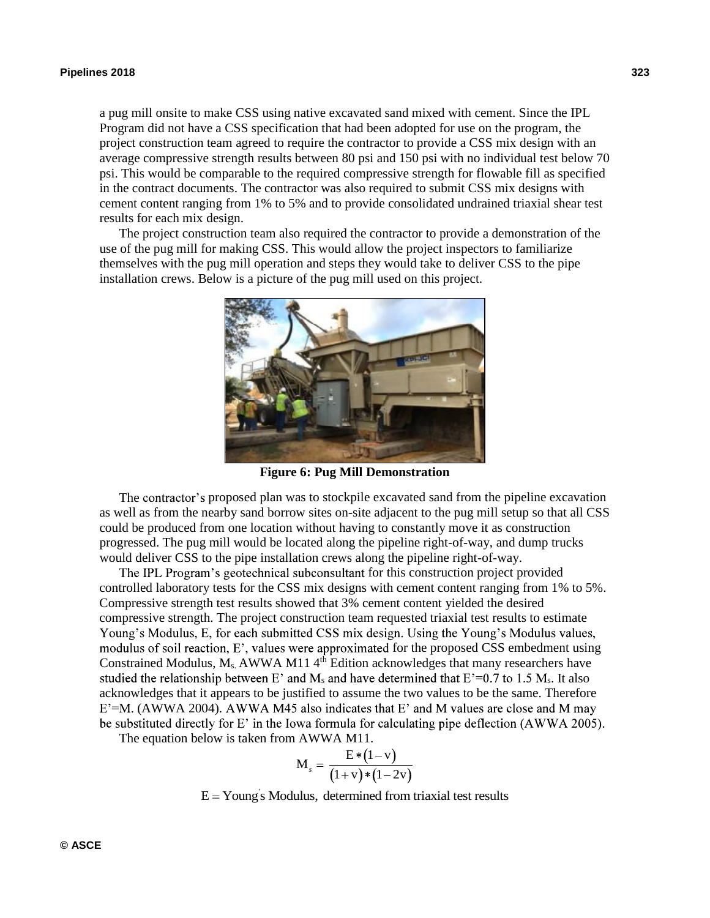a pug mill onsite to make CSS using native excavated sand mixed with cement. Since the IPL Program did not have a CSS specification that had been adopted for use on the program, the project construction team agreed to require the contractor to provide a CSS mix design with an average compressive strength results between 80 psi and 150 psi with no individual test below 70 psi. This would be comparable to the required compressive strength for flowable fill as specified in the contract documents. The contractor was also required to submit CSS mix designs with cement content ranging from 1% to 5% and to provide consolidated undrained triaxial shear test results for each mix design.

The project construction team also required the contractor to provide a demonstration of the use of the pug mill for making CSS. This would allow the project inspectors to familiarize themselves with the pug mill operation and steps they would take to deliver CSS to the pipe installation crews. Below is a picture of the pug mill used on this project.



**Figure 6: Pug Mill Demonstration** 

The contractor's proposed plan was to stockpile excavated sand from the pipeline excavation as well as from the nearby sand borrow sites on-site adjacent to the pug mill setup so that all CSS could be produced from one location without having to constantly move it as construction progressed. The pug mill would be located along the pipeline right-of-way, and dump trucks would deliver CSS to the pipe installation crews along the pipeline right-of-way.

The IPL Program's geotechnical subconsultant for this construction project provided controlled laboratory tests for the CSS mix designs with cement content ranging from 1% to 5%. Compressive strength test results showed that 3% cement content yielded the desired compressive strength. The project construction team requested triaxial test results to estimate Young's Modulus, E, for each submitted CSS mix design. Using the Young's Modulus values, modulus of soil reaction,  $E'$ , values were approximated for the proposed CSS embedment using Constrained Modulus,  $M_s$ , AWWA M11  $4<sup>th</sup>$  Edition acknowledges that many researchers have studied the relationship between E' and  $M_s$  and have determined that  $E^2=0.7$  to 1.5  $M_s$ . It also acknowledges that it appears to be justified to assume the two values to be the same. Therefore  $E^{\prime}$ =M. (AWWA 2004). AWWA M45 also indicates that E' and M values are close and M may be substituted directly for E' in the Iowa formula for calculating pipe deflection (AWWA 2005).

The equation below is taken from AWWA M11.

$$
M_{s} = \frac{E*(1-v)}{(1+v)*(1-2v)}
$$

 $E = Young's Modulus, determined from triaxial test results$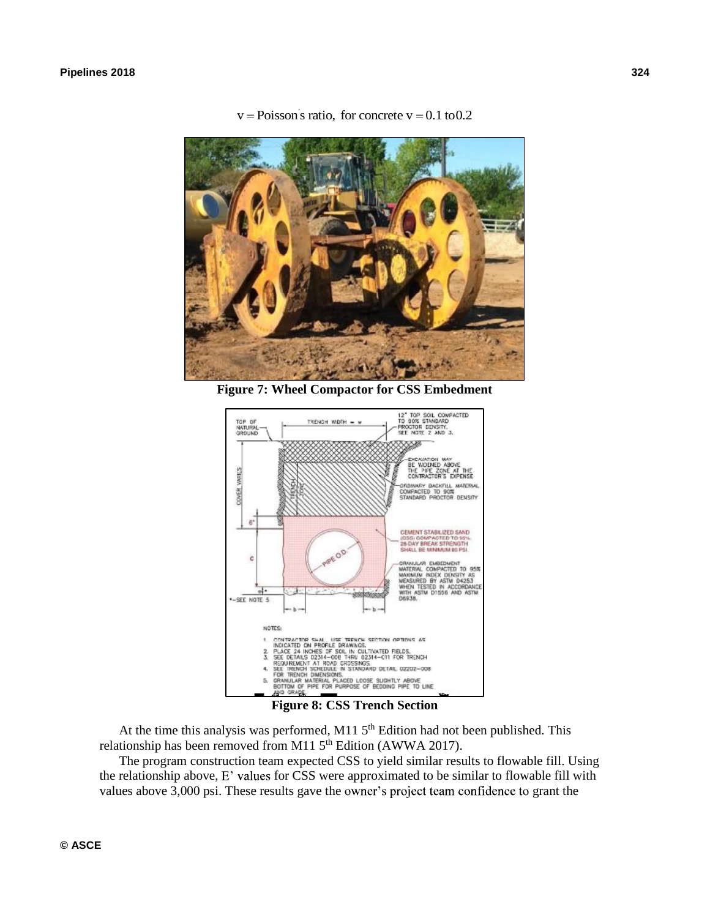

 $v = Poisson's ratio, for concrete v = 0.1 to 0.2$ 

**Figure 7: Wheel Compactor for CSS Embedment** 



At the time this analysis was performed, M11  $5<sup>th</sup>$  Edition had not been published. This relationship has been removed from M11 5<sup>th</sup> Edition (AWWA 2017).

The program construction team expected CSS to yield similar results to flowable fill. Using the relationship above,  $E'$  values for CSS were approximated to be similar to flowable fill with values above 3,000 psi. These results gave the owner's project team confidence to grant the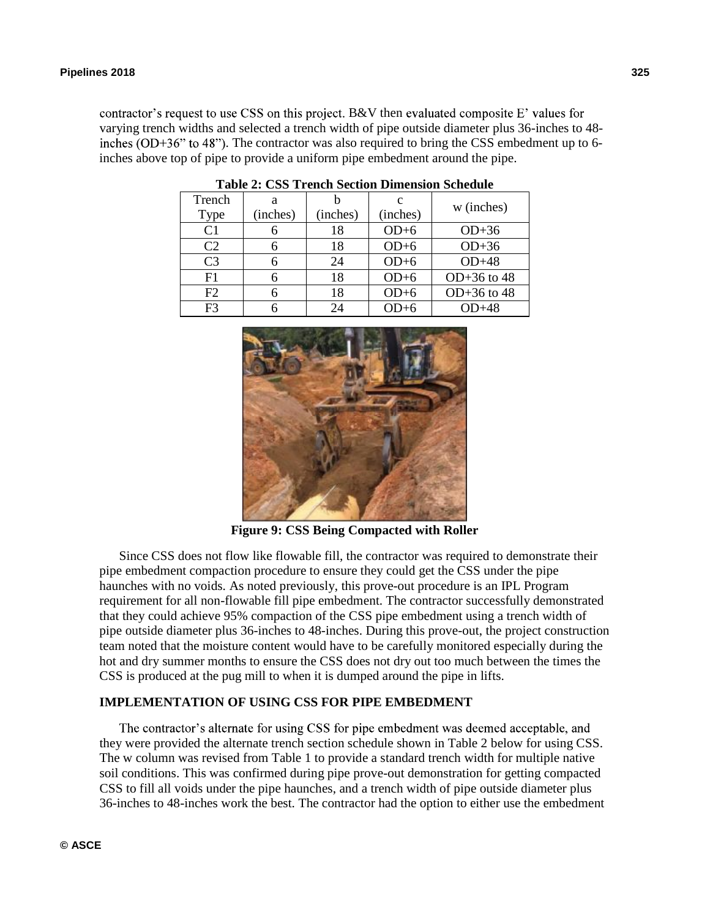contractor's request to use CSS on this project. B&V then evaluated composite  $E'$  values for varying trench widths and selected a trench width of pipe outside diameter plus 36-inches to 48 inches  $(OD+36$ " to 48"). The contractor was also required to bring the CSS embedment up to 6inches above top of pipe to provide a uniform pipe embedment around the pipe.

| Trench         | а        |          | c        |               |  |
|----------------|----------|----------|----------|---------------|--|
| Type           | (inches) | (inches) | (inches) | w (inches)    |  |
| C <sub>1</sub> |          | 18       | $OD+6$   | $OD+36$       |  |
| C <sub>2</sub> |          | 18       | $OD+6$   | $OD+36$       |  |
| C <sub>3</sub> |          | 24       | $OD+6$   | $OD+48$       |  |
| F1             |          | 18       | $OD+6$   | $OD+36$ to 48 |  |
| F <sub>2</sub> |          | 18       | $OD+6$   | $OD+36$ to 48 |  |
| F <sup>3</sup> |          | 24       | $OD+6$   | OD+48         |  |

**Table 2: CSS Trench Section Dimension Schedule** 



**Figure 9: CSS Being Compacted with Roller** 

Since CSS does not flow like flowable fill, the contractor was required to demonstrate their pipe embedment compaction procedure to ensure they could get the CSS under the pipe haunches with no voids. As noted previously, this prove-out procedure is an IPL Program requirement for all non-flowable fill pipe embedment. The contractor successfully demonstrated that they could achieve 95% compaction of the CSS pipe embedment using a trench width of pipe outside diameter plus 36-inches to 48-inches. During this prove-out, the project construction team noted that the moisture content would have to be carefully monitored especially during the hot and dry summer months to ensure the CSS does not dry out too much between the times the CSS is produced at the pug mill to when it is dumped around the pipe in lifts.

### **IMPLEMENTATION OF USING CSS FOR PIPE EMBEDMENT**

The contractor's alternate for using CSS for pipe embedment was deemed acceptable, and they were provided the alternate trench section schedule shown in Table 2 below for using CSS. The w column was revised from Table 1 to provide a standard trench width for multiple native soil conditions. This was confirmed during pipe prove-out demonstration for getting compacted CSS to fill all voids under the pipe haunches, and a trench width of pipe outside diameter plus 36-inches to 48-inches work the best. The contractor had the option to either use the embedment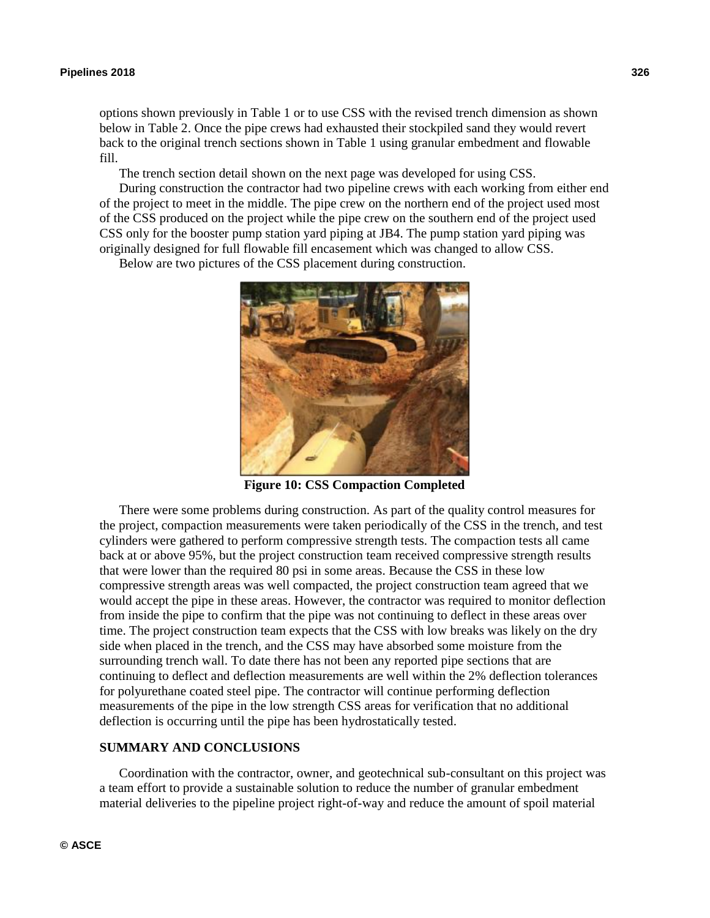options shown previously in Table 1 or to use CSS with the revised trench dimension as shown below in Table 2. Once the pipe crews had exhausted their stockpiled sand they would revert back to the original trench sections shown in Table 1 using granular embedment and flowable fill.

The trench section detail shown on the next page was developed for using CSS.

During construction the contractor had two pipeline crews with each working from either end of the project to meet in the middle. The pipe crew on the northern end of the project used most of the CSS produced on the project while the pipe crew on the southern end of the project used CSS only for the booster pump station yard piping at JB4. The pump station yard piping was originally designed for full flowable fill encasement which was changed to allow CSS.

Below are two pictures of the CSS placement during construction.



**Figure 10: CSS Compaction Completed** 

There were some problems during construction. As part of the quality control measures for the project, compaction measurements were taken periodically of the CSS in the trench, and test cylinders were gathered to perform compressive strength tests. The compaction tests all came back at or above 95%, but the project construction team received compressive strength results that were lower than the required 80 psi in some areas. Because the CSS in these low compressive strength areas was well compacted, the project construction team agreed that we would accept the pipe in these areas. However, the contractor was required to monitor deflection from inside the pipe to confirm that the pipe was not continuing to deflect in these areas over time. The project construction team expects that the CSS with low breaks was likely on the dry side when placed in the trench, and the CSS may have absorbed some moisture from the surrounding trench wall. To date there has not been any reported pipe sections that are continuing to deflect and deflection measurements are well within the 2% deflection tolerances for polyurethane coated steel pipe. The contractor will continue performing deflection measurements of the pipe in the low strength CSS areas for verification that no additional deflection is occurring until the pipe has been hydrostatically tested.

### **SUMMARY AND CONCLUSIONS**

Coordination with the contractor, owner, and geotechnical sub-consultant on this project was a team effort to provide a sustainable solution to reduce the number of granular embedment material deliveries to the pipeline project right-of-way and reduce the amount of spoil material